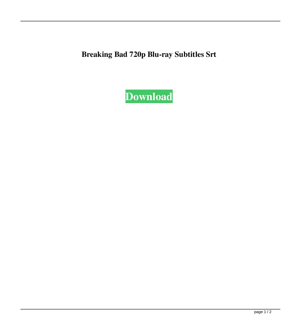**Breaking Bad 720p Blu-ray Subtitles Srt**